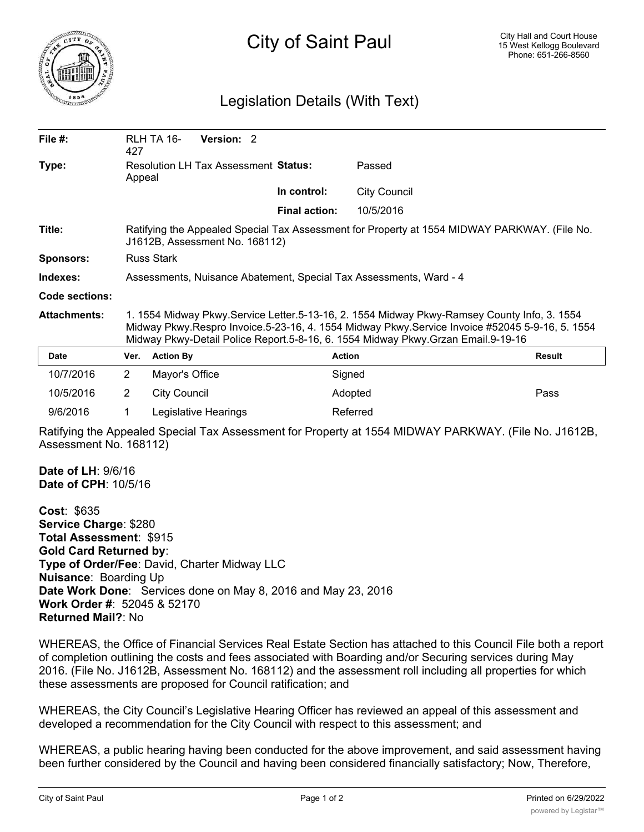

## City of Saint Paul

## Legislation Details (With Text)

| File $#$ :            | 427                                                                                                                                                                                                                                                                               | RLH TA 16-<br>Version: 2 |  |                      |                     |        |
|-----------------------|-----------------------------------------------------------------------------------------------------------------------------------------------------------------------------------------------------------------------------------------------------------------------------------|--------------------------|--|----------------------|---------------------|--------|
| Type:                 | Resolution LH Tax Assessment Status:<br>Appeal                                                                                                                                                                                                                                    |                          |  | Passed               |                     |        |
|                       |                                                                                                                                                                                                                                                                                   |                          |  | In control:          | <b>City Council</b> |        |
|                       |                                                                                                                                                                                                                                                                                   |                          |  | <b>Final action:</b> | 10/5/2016           |        |
| Title:                | Ratifying the Appealed Special Tax Assessment for Property at 1554 MIDWAY PARKWAY. (File No.<br>J1612B, Assessment No. 168112)                                                                                                                                                    |                          |  |                      |                     |        |
| <b>Sponsors:</b>      | <b>Russ Stark</b>                                                                                                                                                                                                                                                                 |                          |  |                      |                     |        |
| Indexes:              | Assessments, Nuisance Abatement, Special Tax Assessments, Ward - 4                                                                                                                                                                                                                |                          |  |                      |                     |        |
| <b>Code sections:</b> |                                                                                                                                                                                                                                                                                   |                          |  |                      |                     |        |
| <b>Attachments:</b>   | 1. 1554 Midway Pkwy.Service Letter.5-13-16, 2. 1554 Midway Pkwy-Ramsey County Info, 3. 1554<br>Midway Pkwy.Respro Invoice.5-23-16, 4. 1554 Midway Pkwy.Service Invoice #52045 5-9-16, 5. 1554<br>Midway Pkwy-Detail Police Report.5-8-16, 6. 1554 Midway Pkwy.Grzan Email.9-19-16 |                          |  |                      |                     |        |
| Date                  | Ver.                                                                                                                                                                                                                                                                              | <b>Action By</b>         |  | <b>Action</b>        |                     | Result |
| 10/7/2016             | $\overline{2}$                                                                                                                                                                                                                                                                    | Mayor's Office           |  | Signed               |                     |        |
| 10/5/2016             | $\overline{2}$                                                                                                                                                                                                                                                                    | <b>City Council</b>      |  |                      | Adopted             | Pass   |
| 9/6/2016              |                                                                                                                                                                                                                                                                                   | Legislative Hearings     |  |                      | Referred            |        |

Ratifying the Appealed Special Tax Assessment for Property at 1554 MIDWAY PARKWAY. (File No. J1612B, Assessment No. 168112)

**Date of LH**: 9/6/16 **Date of CPH**: 10/5/16

**Cost**: \$635 **Service Charge**: \$280 **Total Assessment**: \$915 **Gold Card Returned by**: **Type of Order/Fee**: David, Charter Midway LLC **Nuisance**: Boarding Up **Date Work Done**: Services done on May 8, 2016 and May 23, 2016 **Work Order #**: 52045 & 52170 **Returned Mail?**: No

WHEREAS, the Office of Financial Services Real Estate Section has attached to this Council File both a report of completion outlining the costs and fees associated with Boarding and/or Securing services during May 2016. (File No. J1612B, Assessment No. 168112) and the assessment roll including all properties for which these assessments are proposed for Council ratification; and

WHEREAS, the City Council's Legislative Hearing Officer has reviewed an appeal of this assessment and developed a recommendation for the City Council with respect to this assessment; and

WHEREAS, a public hearing having been conducted for the above improvement, and said assessment having been further considered by the Council and having been considered financially satisfactory; Now, Therefore,